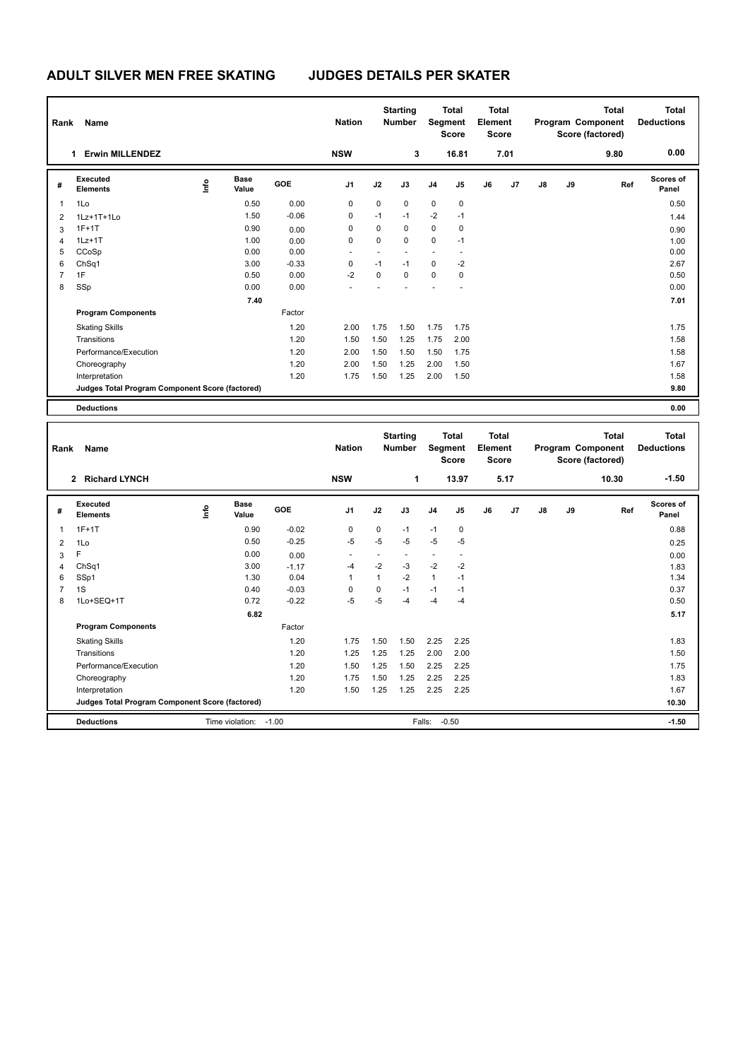| Rank | <b>Name</b>                                     |      |                      |            | <b>Nation</b>  |      | <b>Starting</b><br><b>Number</b> | Segment        | <b>Total</b><br><b>Score</b> | <b>Total</b><br>Element<br><b>Score</b> |      |               |    | <b>Total</b><br>Program Component<br>Score (factored) | <b>Total</b><br><b>Deductions</b> |
|------|-------------------------------------------------|------|----------------------|------------|----------------|------|----------------------------------|----------------|------------------------------|-----------------------------------------|------|---------------|----|-------------------------------------------------------|-----------------------------------|
|      | <b>Erwin MILLENDEZ</b><br>1                     |      |                      |            | <b>NSW</b>     |      | 3                                |                | 16.81                        |                                         | 7.01 |               |    | 9.80                                                  | 0.00                              |
| #    | Executed<br><b>Elements</b>                     | lnfo | <b>Base</b><br>Value | <b>GOE</b> | J <sub>1</sub> | J2   | J3                               | J <sub>4</sub> | J <sub>5</sub>               | J6                                      | J7   | $\mathsf{J}8$ | J9 | Ref                                                   | <b>Scores of</b><br>Panel         |
| 1    | 1Lo                                             |      | 0.50                 | 0.00       | 0              | 0    | $\mathbf 0$                      | $\mathbf 0$    | 0                            |                                         |      |               |    |                                                       | 0.50                              |
| 2    | $1Lz+1T+1Lo$                                    |      | 1.50                 | $-0.06$    | 0              | $-1$ | $-1$                             | $-2$           | $-1$                         |                                         |      |               |    |                                                       | 1.44                              |
| 3    | $1F+1T$                                         |      | 0.90                 | 0.00       | 0              | 0    | $\mathbf 0$                      | $\mathbf 0$    | 0                            |                                         |      |               |    |                                                       | 0.90                              |
| 4    | $1Lz+1T$                                        |      | 1.00                 | 0.00       | 0              | 0    | $\mathbf 0$                      | $\mathbf 0$    | $-1$                         |                                         |      |               |    |                                                       | 1.00                              |
| 5    | CCoSp                                           |      | 0.00                 | 0.00       | $\overline{a}$ |      |                                  | ٠              | $\overline{\phantom{a}}$     |                                         |      |               |    |                                                       | 0.00                              |
| 6    | ChSq1                                           |      | 3.00                 | $-0.33$    | 0              | $-1$ | $-1$                             | $\mathbf 0$    | -2                           |                                         |      |               |    |                                                       | 2.67                              |
| 7    | 1F                                              |      | 0.50                 | 0.00       | $-2$           | 0    | $\mathbf 0$                      | $\mathbf 0$    | 0                            |                                         |      |               |    |                                                       | 0.50                              |
| 8    | SSp                                             |      | 0.00                 | 0.00       |                |      |                                  |                |                              |                                         |      |               |    |                                                       | 0.00                              |
|      |                                                 |      | 7.40                 |            |                |      |                                  |                |                              |                                         |      |               |    |                                                       | 7.01                              |
|      | <b>Program Components</b>                       |      |                      | Factor     |                |      |                                  |                |                              |                                         |      |               |    |                                                       |                                   |
|      | <b>Skating Skills</b>                           |      |                      | 1.20       | 2.00           | 1.75 | 1.50                             | 1.75           | 1.75                         |                                         |      |               |    |                                                       | 1.75                              |
|      | Transitions                                     |      |                      | 1.20       | 1.50           | 1.50 | 1.25                             | 1.75           | 2.00                         |                                         |      |               |    |                                                       | 1.58                              |
|      | Performance/Execution                           |      |                      | 1.20       | 2.00           | 1.50 | 1.50                             | 1.50           | 1.75                         |                                         |      |               |    |                                                       | 1.58                              |
|      | Choreography                                    |      |                      | 1.20       | 2.00           | 1.50 | 1.25                             | 2.00           | 1.50                         |                                         |      |               |    |                                                       | 1.67                              |
|      | Interpretation                                  |      |                      | 1.20       | 1.75           | 1.50 | 1.25                             | 2.00           | 1.50                         |                                         |      |               |    |                                                       | 1.58                              |
|      | Judges Total Program Component Score (factored) |      |                      |            |                |      |                                  |                |                              |                                         |      |               |    |                                                       | 9.80                              |
|      | <b>Deductions</b>                               |      |                      |            |                |      |                                  |                |                              |                                         |      |               |    |                                                       | 0.00                              |

| Rank           | Name                                            |    |                      |            | <b>Nation</b>  |              | <b>Starting</b><br><b>Number</b> |                          | <b>Total</b><br>Segment<br><b>Score</b> |    | Total<br>Element<br><b>Score</b> |         |      | Total<br>Program Component<br>Score (factored) | Total<br><b>Deductions</b> |
|----------------|-------------------------------------------------|----|----------------------|------------|----------------|--------------|----------------------------------|--------------------------|-----------------------------------------|----|----------------------------------|---------|------|------------------------------------------------|----------------------------|
|                | <b>Richard LYNCH</b><br>$\mathbf{2}$            |    |                      |            | <b>NSW</b>     |              | 1                                |                          | 13.97                                   |    | 5.17                             |         |      | 10.30                                          | $-1.50$                    |
| #              | Executed<br><b>Elements</b>                     | ۴ů | <b>Base</b><br>Value | <b>GOE</b> | J <sub>1</sub> | J2           | J3                               | J <sub>4</sub>           | J5                                      | J6 | J7                               | J8      | J9   | Ref                                            | <b>Scores of</b><br>Panel  |
| 1              | $1F+1T$                                         |    | 0.90                 | $-0.02$    | 0              | $\Omega$     | $-1$                             | $-1$                     | $\mathbf 0$                             |    |                                  |         |      |                                                | 0.88                       |
| 2              | 1Lo                                             |    | 0.50                 | $-0.25$    | $-5$           | $-5$         | $-5$                             | $-5$                     | $-5$                                    |    |                                  |         |      |                                                | 0.25                       |
| 3              | F                                               |    | 0.00                 | 0.00       |                | ٠            |                                  | $\overline{\phantom{a}}$ | $\overline{\phantom{a}}$                |    |                                  |         |      |                                                | 0.00                       |
| $\overline{4}$ | ChSq1                                           |    | 3.00                 | $-1.17$    | $-4$           | $-2$         | $-3$                             | $-2$                     | $-2$                                    |    |                                  |         |      |                                                | 1.83                       |
| 6              | SSp1                                            |    | 1.30                 | 0.04       | 1              | $\mathbf{1}$ | $-2$                             | $\mathbf{1}$             | $-1$                                    |    |                                  |         |      |                                                | 1.34                       |
| $\overline{7}$ | 1S                                              |    | 0.40                 | $-0.03$    | $\Omega$       | 0            | $-1$                             | $-1$                     | $-1$                                    |    |                                  |         |      |                                                | 0.37                       |
| 8              | 1Lo+SEQ+1T                                      |    | 0.72                 | $-0.22$    | $-5$           | $-5$         | -4                               | $-4$                     | $-4$                                    |    |                                  |         |      |                                                | 0.50                       |
|                |                                                 |    |                      |            |                |              |                                  |                          |                                         |    |                                  |         | 5.17 |                                                |                            |
|                | <b>Program Components</b>                       |    |                      | Factor     |                |              |                                  |                          |                                         |    |                                  |         |      |                                                |                            |
|                | <b>Skating Skills</b>                           |    |                      | 1.20       | 1.75           | 1.50         | 1.50                             | 2.25                     | 2.25                                    |    |                                  |         |      |                                                | 1.83                       |
|                | Transitions                                     |    |                      | 1.20       | 1.25           | 1.25         | 1.25                             | 2.00                     | 2.00                                    |    |                                  |         |      |                                                | 1.50                       |
|                | Performance/Execution                           |    |                      | 1.20       | 1.50           | 1.25         | 1.50                             | 2.25                     | 2.25                                    |    |                                  |         |      |                                                | 1.75                       |
|                | Choreography                                    |    |                      | 1.20       | 1.75           | 1.50         | 1.25                             | 2.25                     | 2.25                                    |    |                                  |         |      |                                                | 1.83                       |
|                | Interpretation                                  |    |                      | 1.20       | 1.50           | 1.25         | 1.25                             | 2.25                     | 2.25                                    |    |                                  |         |      |                                                | 1.67                       |
|                | Judges Total Program Component Score (factored) |    |                      |            |                |              |                                  |                          |                                         |    |                                  | 10.30   |      |                                                |                            |
|                | <b>Deductions</b>                               |    | Falls:<br>$-0.50$    |            |                |              |                                  |                          |                                         |    |                                  | $-1.50$ |      |                                                |                            |